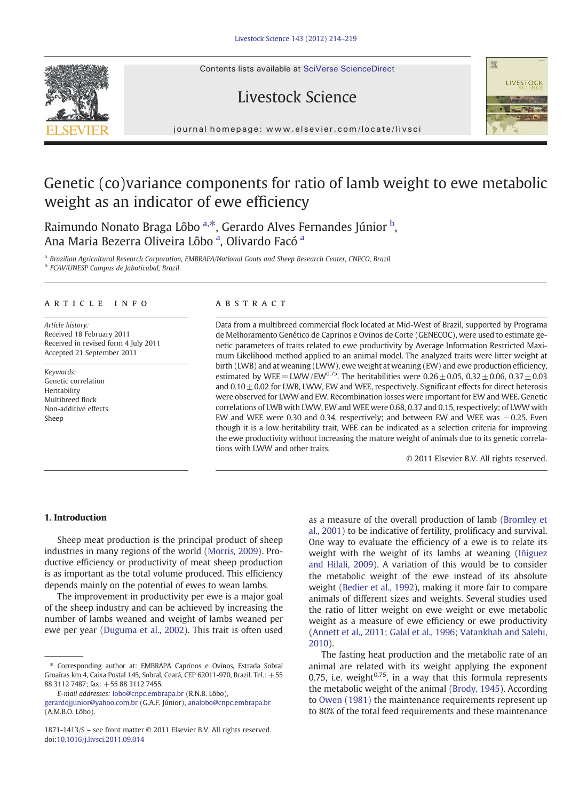Contents lists available at SciVerse ScienceDirect

# Livestock Science

journal homepage: www.elsevier.com/locate/livscier.com/locate/livscier.com/locate/livscier.com/locate/livscier.com/locate/livscier.com/locate/livscier.com/locate/livscier.com/locate/livscier.com/locate/livscier.com/locate

# Genetic (co)variance components for ratio of lamb weight to ewe metabolic weight as an indicator of ewe efficiency

Raimundo Nonato Braga Lôbo <sup>a,\*</sup>, Gerardo Alves Fernandes Júnior <sup>b</sup>, Ana Maria Bezerra Oliveira Lôbo <sup>a</sup>, Olivardo Facó <sup>a</sup>

<sup>a</sup> Brazilian Agricultural Research Corporation, EMBRAPA/National Goats and Sheep Research Center, CNPCO, Brazil <sup>b</sup> FCAV/UNESP Campus de Jaboticabal, Brazil

### article info abstract

Article history: Received 18 February 2011 Received in revised form 4 July 2011 Accepted 21 September 2011

Keywords: Genetic correlation Heritability Multibreed flock Non-additive effects Sheep

Data from a multibreed commercial flock located at Mid-West of Brazil, supported by Programa de Melhoramento Genético de Caprinos e Ovinos de Corte (GENECOC), were used to estimate genetic parameters of traits related to ewe productivity by Average Information Restricted Maximum Likelihood method applied to an animal model. The analyzed traits were litter weight at birth (LWB) and at weaning (LWW), ewe weight at weaning (EW) and ewe production efficiency, estimated by WEE = LWW/EW0.75. The heritabilities were  $0.26 + 0.05$ ,  $0.32 + 0.06$ ,  $0.37 + 0.03$ and  $0.10 \pm 0.02$  for LWB, LWW, EW and WEE, respectively. Significant effects for direct heterosis were observed for LWW and EW. Recombination losses were important for EW and WEE. Genetic correlations of LWB with LWW, EW and WEE were 0.68, 0.37 and 0.15, respectively; of LWW with EW and WEE were 0.30 and 0.34, respectively; and between EW and WEE was −0.25. Even though it is a low heritability trait, WEE can be indicated as a selection criteria for improving the ewe productivity without increasing the mature weight of animals due to its genetic correlations with LWW and other traits.

© 2011 Elsevier B.V. All rights reserved.

理

# 1. Introduction

Sheep meat production is the principal product of sheep industries in many regions of the world ([Morris, 2009](#page-5-0)). Productive efficiency or productivity of meat sheep production is as important as the total volume produced. This efficiency depends mainly on the potential of ewes to wean lambs.

The improvement in productivity per ewe is a major goal of the sheep industry and can be achieved by increasing the number of lambs weaned and weight of lambs weaned per ewe per year [\(Duguma et al., 2002\)](#page-4-0). This trait is often used as a measure of the overall production of lamb [\(Bromley et](#page-4-0) [al., 2001\)](#page-4-0) to be indicative of fertility, prolificacy and survival. One way to evaluate the efficiency of a ewe is to relate its weight with the weight of its lambs at weaning ([Iñiguez](#page-5-0) [and Hilali, 2009](#page-5-0)). A variation of this would be to consider the metabolic weight of the ewe instead of its absolute weight ([Bedier et al., 1992\)](#page-4-0), making it more fair to compare animals of different sizes and weights. Several studies used the ratio of litter weight on ewe weight or ewe metabolic weight as a measure of ewe efficiency or ewe productivity ([Annett et al., 2011; Galal et al., 1996; Vatankhah and Salehi,](#page-4-0) [2010](#page-4-0)).

The fasting heat production and the metabolic rate of an animal are related with its weight applying the exponent 0.75, i.e. weight $0.75$ , in a way that this formula represents the metabolic weight of the animal ([Brody, 1945](#page-4-0)). According to [Owen \(1981\)](#page-5-0) the maintenance requirements represent up to 80% of the total feed requirements and these maintenance



<sup>⁎</sup> Corresponding author at: EMBRAPA Caprinos e Ovinos, Estrada Sobral Groaíras km 4, Caixa Postal 145, Sobral, Ceará, CEP 62011-970, Brazil. Tel.: +55 88 3112 7487; fax: +55 88 3112 7455.

E-mail addresses: [lobo@cnpc.embrapa.br](mailto:lobo@cnpc.embrapa.br) (R.N.B. Lôbo),

[gerardojjunior@yahoo.com.br](mailto:gerardojjunior@yahoo.com.br) (G.A.F. Júnior), [analobo@cnpc.embrapa.br](mailto:analobo@cnpc.embrapa.br)  $(AMRO Iôbo)$ 

<sup>1871-1413/\$</sup> – see front matter © 2011 Elsevier B.V. All rights reserved. doi:[10.1016/j.livsci.2011.09.014](http://dx.doi.org/10.1016/j.livsci.2011.09.014)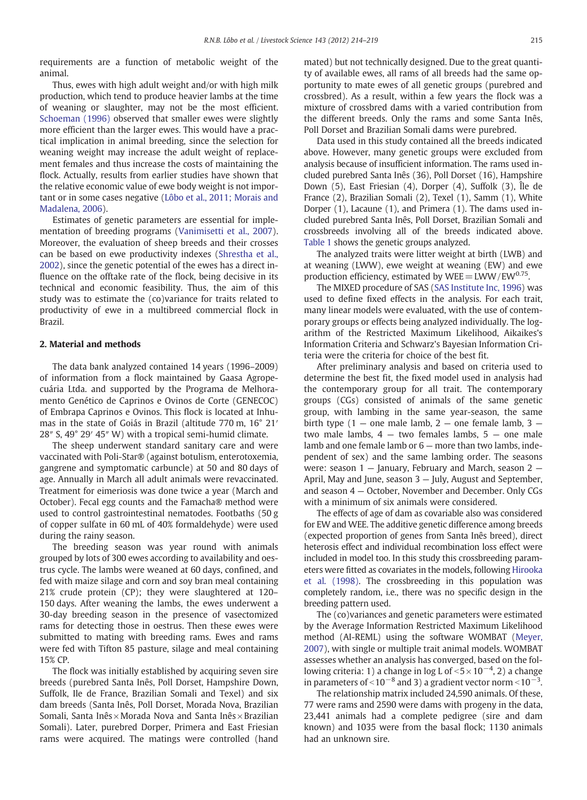requirements are a function of metabolic weight of the animal.

Thus, ewes with high adult weight and/or with high milk production, which tend to produce heavier lambs at the time of weaning or slaughter, may not be the most efficient. [Schoeman \(1996\)](#page-5-0) observed that smaller ewes were slightly more efficient than the larger ewes. This would have a practical implication in animal breeding, since the selection for weaning weight may increase the adult weight of replacement females and thus increase the costs of maintaining the flock. Actually, results from earlier studies have shown that the relative economic value of ewe body weight is not important or in some cases negative ([Lôbo et al., 2011; Morais and](#page-5-0) [Madalena, 2006\)](#page-5-0).

Estimates of genetic parameters are essential for implementation of breeding programs ([Vanimisetti et al., 2007\)](#page-5-0). Moreover, the evaluation of sheep breeds and their crosses can be based on ewe productivity indexes ([Shrestha et al.,](#page-5-0) [2002](#page-5-0)), since the genetic potential of the ewes has a direct influence on the offtake rate of the flock, being decisive in its technical and economic feasibility. Thus, the aim of this study was to estimate the (co)variance for traits related to productivity of ewe in a multibreed commercial flock in Brazil.

# 2. Material and methods

The data bank analyzed contained 14 years (1996–2009) of information from a flock maintained by Gaasa Agropecuária Ltda. and supported by the Programa de Melhoramento Genético de Caprinos e Ovinos de Corte (GENECOC) of Embrapa Caprinos e Ovinos. This flock is located at Inhumas in the state of Goiás in Brazil (altitude 770 m, 16° 21′ 28″ S, 49° 29′ 45″ W) with a tropical semi-humid climate.

The sheep underwent standard sanitary care and were vaccinated with Poli-Star® (against botulism, enterotoxemia, gangrene and symptomatic carbuncle) at 50 and 80 days of age. Annually in March all adult animals were revaccinated. Treatment for eimeriosis was done twice a year (March and October). Fecal egg counts and the Famacha® method were used to control gastrointestinal nematodes. Footbaths (50 g of copper sulfate in 60 mL of 40% formaldehyde) were used during the rainy season.

The breeding season was year round with animals grouped by lots of 300 ewes according to availability and oestrus cycle. The lambs were weaned at 60 days, confined, and fed with maize silage and corn and soy bran meal containing 21% crude protein (CP); they were slaughtered at 120– 150 days. After weaning the lambs, the ewes underwent a 30-day breeding season in the presence of vasectomized rams for detecting those in oestrus. Then these ewes were submitted to mating with breeding rams. Ewes and rams were fed with Tifton 85 pasture, silage and meal containing 15% CP.

The flock was initially established by acquiring seven sire breeds (purebred Santa Inês, Poll Dorset, Hampshire Down, Suffolk, Ile de France, Brazilian Somali and Texel) and six dam breeds (Santa Inês, Poll Dorset, Morada Nova, Brazilian Somali, Santa Inês  $\times$  Morada Nova and Santa Inês  $\times$  Brazilian Somali). Later, purebred Dorper, Primera and East Friesian rams were acquired. The matings were controlled (hand mated) but not technically designed. Due to the great quantity of available ewes, all rams of all breeds had the same opportunity to mate ewes of all genetic groups (purebred and crossbred). As a result, within a few years the flock was a mixture of crossbred dams with a varied contribution from the different breeds. Only the rams and some Santa Inês, Poll Dorset and Brazilian Somali dams were purebred.

Data used in this study contained all the breeds indicated above. However, many genetic groups were excluded from analysis because of insufficient information. The rams used included purebred Santa Inês (36), Poll Dorset (16), Hampshire Down (5), East Friesian (4), Dorper (4), Suffolk (3), Île de France (2), Brazilian Somali (2), Texel (1), Samm (1), White Dorper (1), Lacaune (1), and Primera (1). The dams used included purebred Santa Inês, Poll Dorset, Brazilian Somali and crossbreeds involving all of the breeds indicated above. [Table 1](#page-2-0) shows the genetic groups analyzed.

The analyzed traits were litter weight at birth (LWB) and at weaning (LWW), ewe weight at weaning (EW) and ewe production efficiency, estimated by  $WEE = LWW / EW^{0.75}$ .

The MIXED procedure of SAS ([SAS Institute Inc, 1996](#page-5-0)) was used to define fixed effects in the analysis. For each trait, many linear models were evaluated, with the use of contemporary groups or effects being analyzed individually. The logarithm of the Restricted Maximum Likelihood, Aikaikes's Information Criteria and Schwarz's Bayesian Information Criteria were the criteria for choice of the best fit.

After preliminary analysis and based on criteria used to determine the best fit, the fixed model used in analysis had the contemporary group for all trait. The contemporary groups (CGs) consisted of animals of the same genetic group, with lambing in the same year-season, the same birth type  $(1 -$  one male lamb,  $2 -$  one female lamb,  $3$ two male lambs,  $4 -$  two females lambs,  $5 -$  one male lamb and one female lamb or 6 — more than two lambs, independent of sex) and the same lambing order. The seasons were: season 1 — January, February and March, season 2 — April, May and June, season 3 — July, August and September, and season 4 — October, November and December. Only CGs with a minimum of six animals were considered.

The effects of age of dam as covariable also was considered for EW and WEE. The additive genetic difference among breeds (expected proportion of genes from Santa Inês breed), direct heterosis effect and individual recombination loss effect were included in model too. In this study this crossbreeding parameters were fitted as covariates in the models, following [Hirooka](#page-5-0) [et al. \(1998\).](#page-5-0) The crossbreeding in this population was completely random, i.e., there was no specific design in the breeding pattern used.

The (co)variances and genetic parameters were estimated by the Average Information Restricted Maximum Likelihood method (AI-REML) using the software WOMBAT [\(Meyer,](#page-5-0) [2007](#page-5-0)), with single or multiple trait animal models. WOMBAT assesses whether an analysis has converged, based on the following criteria: 1) a change in log L of <5×10<sup>-4</sup>, 2) a change in parameters of <10<sup>−8</sup> and 3) a gradient vector norm <10<sup>−3</sup>.

The relationship matrix included 24,590 animals. Of these, 77 were rams and 2590 were dams with progeny in the data, 23,441 animals had a complete pedigree (sire and dam known) and 1035 were from the basal flock; 1130 animals had an unknown sire.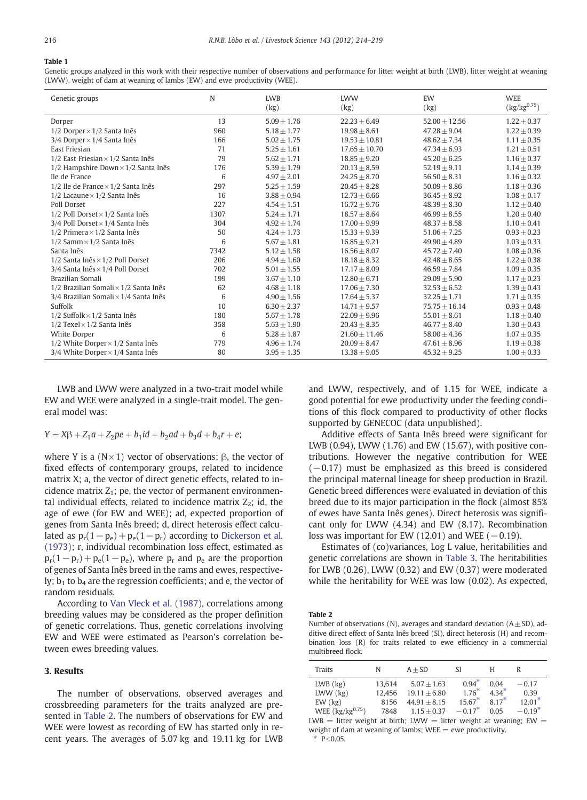#### <span id="page-2-0"></span>Table 1

Genetic groups analyzed in this work with their respective number of observations and performance for litter weight at birth (LWB), litter weight at weaning (LWW), weight of dam at weaning of lambs (EW) and ewe productivity (WEE).

| Genetic groups                                 | N    | <b>LWB</b>      | <b>LWW</b>        | EW               | <b>WEE</b>             |
|------------------------------------------------|------|-----------------|-------------------|------------------|------------------------|
|                                                |      | (kg)            | (kg)              | (kg)             | $({\rm kg/kg^{0.75}})$ |
| Dorper                                         | 13   | $5.09 + 1.76$   | $22.23 + 6.49$    | $52.00 + 12.56$  | $1.22 \pm 0.37$        |
| $1/2$ Dorper $\times$ $1/2$ Santa Inês         | 960  | $5.18 + 1.77$   | $19.98 + 8.61$    | $47.28 + 9.04$   | $1.22 + 0.39$          |
| $3/4$ Dorper $\times$ 1/4 Santa Inês           | 166  | $5.02 + 1.75$   | $19.53 \pm 10.81$ | $48.62 + 7.34$   | $1.11 + 0.35$          |
| East Friesian                                  | 71   | $5.25 + 1.61$   | $17.65 + 10.70$   | $47.34 + 6.93$   | $1.21 + 0.51$          |
| $1/2$ East Friesian $\times$ 1/2 Santa Inês    | 79   | $5.62 + 1.71$   | $18.85 + 9.20$    | $45.20 + 6.25$   | $1.16 + 0.37$          |
| $1/2$ Hampshire Down $\times$ 1/2 Santa Inês   | 176  | $5.39 + 1.79$   | $20.13 + 8.59$    | $52.19 + 9.11$   | $1.14 \pm 0.39$        |
| Ile de France                                  | 6    | $4.97 + 2.01$   | $24.25 + 8.70$    | $56.50 + 8.31$   | $1.16 + 0.32$          |
| $1/2$ Ile de France $\times$ $1/2$ Santa Inês  | 297  | $5.25 + 1.59$   | $20.45 + 8.28$    | $50.09 \pm 8.86$ | $1.18 \pm 0.36$        |
| $1/2$ Lacaune $\times$ $1/2$ Santa Inês        | 16   | $3.88 + 0.94$   | $12.73 + 6.66$    | $36.45 + 8.92$   | $1.08 \pm 0.17$        |
| Poll Dorset                                    | 227  | $4.54 + 1.51$   | $16.72 + 9.76$    | $48.39 + 8.30$   | $1.12 + 0.40$          |
| $1/2$ Poll Dorset $\times$ $1/2$ Santa Inês    | 1307 | $5.24 + 1.71$   | $18.57 + 8.64$    | $46.99 + 8.55$   | $1.20 + 0.40$          |
| $3/4$ Poll Dorset $\times$ 1/4 Santa Inês      | 304  | $4.92 + 1.74$   | $17.00 + 9.99$    | $48.37 + 8.58$   | $1.10 \pm 0.41$        |
| $1/2$ Primera $\times$ 1/2 Santa Inês          | 50   | $4.24 + 1.73$   | $15.33 + 9.39$    | $51.06 + 7.25$   | $0.93 + 0.23$          |
| $1/2$ Samm $\times$ $1/2$ Santa Inês           | 6    | $5.67 + 1.81$   | $16.85 + 9.21$    | $49.90 + 4.89$   | $1.03 + 0.33$          |
| Santa Inês                                     | 7342 | $5.12 + 1.58$   | $16.56 + 8.07$    | $45.72 + 7.40$   | $1.08 \pm 0.36$        |
| $1/2$ Santa Inês $\times$ 1/2 Poll Dorset      | 206  | $4.94 + 1.60$   | $18.18 + 8.32$    | $42.48 + 8.65$   | $1.22 \pm 0.38$        |
| $3/4$ Santa Inês × 1/4 Poll Dorset             | 702  | $5.01 + 1.55$   | $17.17 \pm 8.09$  | $46.59 + 7.84$   | $1.09 + 0.35$          |
| Brazilian Somali                               | 199  | $3.67 + 1.10$   | $12.80 + 6.71$    | $29.09 + 5.90$   | $1.17 + 0.23$          |
| $1/2$ Brazilian Somali $\times$ 1/2 Santa Inês | 62   | $4.68 + 1.18$   | $17.06 + 7.30$    | $32.53 + 6.52$   | $1.39 + 0.43$          |
| $3/4$ Brazilian Somali $\times$ 1/4 Santa Inês | 6    | $4.90 + 1.56$   | $17.64 + 5.37$    | $32.25 + 1.71$   | $1.71 + 0.35$          |
| Suffolk                                        | 10   | $6.30 + 2.37$   | $14.71 + 9.57$    | $75.75 + 16.14$  | $0.93 + 0.48$          |
| $1/2$ Suffolk $\times$ 1/2 Santa Inês          | 180  | $5.67 \pm 1.78$ | $22.09 + 9.96$    | $55.01 \pm 8.61$ | $1.18 \pm 0.40$        |
| $1/2$ Texel $\times$ 1/2 Santa Inês            | 358  | $5.63 + 1.90$   | $20.43 + 8.35$    | $46.77 + 8.40$   | $1.30 \pm 0.43$        |
| White Dorper                                   | 6    | $5.28 + 1.87$   | $21.60 + 11.46$   | $58.00 + 4.36$   | $1.07 \pm 0.35$        |
| $1/2$ White Dorper $\times$ 1/2 Santa Inês     | 779  | $4.96 + 1.74$   | $20.09 \pm 8.47$  | $47.61 + 8.96$   | $1.19 + 0.38$          |
| 3/4 White Dorper $\times$ 1/4 Santa Inês       | 80   | $3.95 \pm 1.35$ | $13.38 \pm 9.05$  | $45.32 + 9.25$   | $1.00 \pm 0.33$        |

LWB and LWW were analyzed in a two-trait model while EW and WEE were analyzed in a single-trait model. The general model was:

# $Y = X\beta + Z_1a + Z_2pe + b_1id + b_2ad + b_3d + b_4r + e;$

where Y is a  $(N \times 1)$  vector of observations; β, the vector of fixed effects of contemporary groups, related to incidence matrix X; a, the vector of direct genetic effects, related to incidence matrix  $Z_1$ ; pe, the vector of permanent environmental individual effects, related to incidence matrix  $Z_2$ ; id, the age of ewe (for EW and WEE); ad, expected proportion of genes from Santa Inês breed; d, direct heterosis effect calculated as  $p_r(1-p_e)+p_e(1-p_r)$  according to [Dickerson et al.](#page-4-0) [\(1973\)](#page-4-0); r, individual recombination loss effect, estimated as  $p_r(1-p_r)+p_e(1-p_e)$ , where  $p_r$  and  $p_e$  are the proportion of genes of Santa Inês breed in the rams and ewes, respectively;  $b_1$  to  $b_4$  are the regression coefficients; and e, the vector of random residuals.

According to [Van Vleck et al. \(1987\)](#page-5-0), correlations among breeding values may be considered as the proper definition of genetic correlations. Thus, genetic correlations involving EW and WEE were estimated as Pearson's correlation between ewes breeding values.

# 3. Results

The number of observations, observed averages and crossbreeding parameters for the traits analyzed are presented in Table 2. The numbers of observations for EW and WEE were lowest as recording of EW has started only in recent years. The averages of 5.07 kg and 19.11 kg for LWB and LWW, respectively, and of 1.15 for WEE, indicate a good potential for ewe productivity under the feeding conditions of this flock compared to productivity of other flocks supported by GENECOC (data unpublished).

Additive effects of Santa Inês breed were significant for LWB (0.94), LWW (1.76) and EW (15.67), with positive contributions. However the negative contribution for WEE  $(-0.17)$  must be emphasized as this breed is considered the principal maternal lineage for sheep production in Brazil. Genetic breed differences were evaluated in deviation of this breed due to its major participation in the flock (almost 85% of ewes have Santa Inês genes). Direct heterosis was significant only for LWW (4.34) and EW (8.17). Recombination loss was important for EW (12.01) and WEE ( $-0.19$ ).

Estimates of (co)variances, Log L value, heritabilities and genetic correlations are shown in [Table 3.](#page-3-0) The heritabilities for LWB (0.26), LWW (0.32) and EW (0.37) were moderated while the heritability for WEE was low (0.02). As expected,

Table 2

Number of observations (N), averages and standard deviation  $(A \pm SD)$ , additive direct effect of Santa Inês breed (SI), direct heterosis (H) and recombination loss (R) for traits related to ewe efficiency in a commercial multibreed flock.

| Traits                                                                     | N      | $A + SD$       | SI.       | Н      |          |
|----------------------------------------------------------------------------|--------|----------------|-----------|--------|----------|
| $LWB$ $(kg)$                                                               | 13.614 | $5.07 + 1.63$  | $0.94*$   | 0.04   | $-0.17$  |
| $LWW$ ( $kg$ )                                                             | 12.456 | $19.11 + 6.80$ | $1.76*$   | $434*$ | 0.39     |
| $EW$ ( $kg$ )                                                              | 8156   | $44.91 + 8.15$ | $15.67*$  | $817*$ | $12.01*$ |
| WEE $\left(\frac{kg}{kg^{0.75}}\right)$                                    | 7848   | $1.15 + 0.37$  | $-0.17^*$ | 0.05   | $-0.19*$ |
| $IMA$ = litter weight at hirth: $IMAU$ = litter weight at weaning: $FMA$ = |        |                |           |        |          |

litter weight at birth; LWW  $=$  litter weight at weaning; EW  $\,$ weight of dam at weaning of lambs;  $WEE = ewe$  productivity.

 $P < 0.05$ .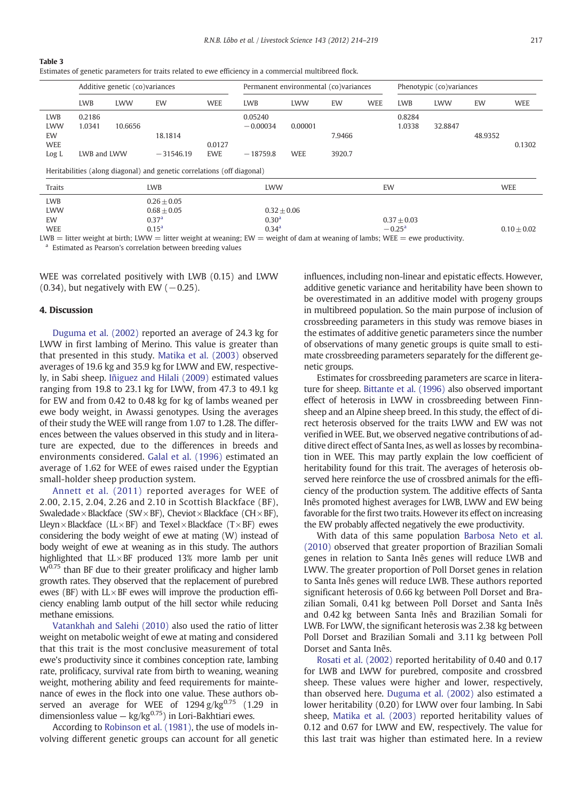<span id="page-3-0"></span>

| ۰.<br>۰.<br>. . |  |
|-----------------|--|
|-----------------|--|

|                                                                         | Additive genetic (co)variances  |            |                                                                          | Permanent environmental (co)variances |                                                         |                       |                  | Phenotypic (co)variances |                           |             |         |               |
|-------------------------------------------------------------------------|---------------------------------|------------|--------------------------------------------------------------------------|---------------------------------------|---------------------------------------------------------|-----------------------|------------------|--------------------------|---------------------------|-------------|---------|---------------|
|                                                                         | <b>LWB</b>                      | <b>LWW</b> | EW                                                                       | <b>WEE</b>                            | <b>LWB</b>                                              | <b>LWW</b>            | EW               | <b>WEE</b>               | <b>LWB</b>                | <b>I.WW</b> | EW      | <b>WEE</b>    |
| <b>LWB</b><br><b>LWW</b><br>EW<br><b>WEE</b><br>Log L                   | 0.2186<br>1.0341<br>LWB and LWW | 10.6656    | 18.1814<br>$-31546.19$                                                   | 0.0127<br><b>EWE</b>                  | 0.05240<br>$-0.00034$<br>$-18759.8$                     | 0.00001<br><b>WEE</b> | 7.9466<br>3920.7 |                          | 0.8284<br>1.0338          | 32.8847     | 48.9352 | 0.1302        |
| Heritabilities (along diagonal) and genetic correlations (off diagonal) |                                 |            |                                                                          |                                       |                                                         |                       |                  |                          |                           |             |         |               |
| Traits                                                                  | <b>LWB</b>                      |            | <b>LWW</b>                                                               |                                       |                                                         | EW                    |                  | <b>WEE</b>               |                           |             |         |               |
| <b>LWB</b><br><b>LWW</b><br>EW<br><b>WEE</b>                            |                                 |            | $0.26 + 0.05$<br>$0.68 + 0.05$<br>0.37 <sup>a</sup><br>0.15 <sup>a</sup> |                                       | $0.32 + 0.06$<br>0.30 <sup>a</sup><br>0.34 <sup>a</sup> |                       |                  |                          | $0.37 + 0.03$<br>$-0.25a$ |             |         | $0.10 + 0.02$ |

 $LWB =$  litter weight at birth;  $LWW =$  litter weight at weaning;  $EW =$  weight of dam at weaning of lambs; WEE = ewe productivity. <sup>a</sup> Estimated as Pearson's correlation between breeding values

WEE was correlated positively with LWB (0.15) and LWW (0.34), but negatively with EW ( $-0.25$ ).

# 4. Discussion

[Duguma et al. \(2002\)](#page-4-0) reported an average of 24.3 kg for LWW in first lambing of Merino. This value is greater than that presented in this study. [Matika et al. \(2003\)](#page-5-0) observed averages of 19.6 kg and 35.9 kg for LWW and EW, respectively, in Sabi sheep. [Iñiguez and Hilali \(2009\)](#page-5-0) estimated values ranging from 19.8 to 23.1 kg for LWW, from 47.3 to 49.1 kg for EW and from 0.42 to 0.48 kg for kg of lambs weaned per ewe body weight, in Awassi genotypes. Using the averages of their study the WEE will range from 1.07 to 1.28. The differences between the values observed in this study and in literature are expected, due to the differences in breeds and environments considered. [Galal et al. \(1996\)](#page-4-0) estimated an average of 1.62 for WEE of ewes raised under the Egyptian small-holder sheep production system.

[Annett et al. \(2011\)](#page-4-0) reported averages for WEE of 2.00, 2.15, 2.04, 2.26 and 2.10 in Scottish Blackface (BF), Swaledade × Blackface (SW × BF), Cheviot × Blackface (CH × BF), Lleyn  $\times$  Blackface (LL $\times$ BF) and Texel  $\times$  Blackface (T $\times$ BF) ewes considering the body weight of ewe at mating (W) instead of body weight of ewe at weaning as in this study. The authors highlighted that LL×BF produced 13% more lamb per unit  $W^{0.75}$  than BF due to their greater prolificacy and higher lamb growth rates. They observed that the replacement of purebred ewes (BF) with  $L \times BF$  ewes will improve the production efficiency enabling lamb output of the hill sector while reducing methane emissions.

[Vatankhah and Salehi \(2010\)](#page-5-0) also used the ratio of litter weight on metabolic weight of ewe at mating and considered that this trait is the most conclusive measurement of total ewe's productivity since it combines conception rate, lambing rate, prolificacy, survival rate from birth to weaning, weaning weight, mothering ability and feed requirements for maintenance of ewes in the flock into one value. These authors observed an average for WEE of  $1294 \frac{\text{g}}{\text{kg}^{0.75}}$  (1.29 in dimensionless value —  $kg/kg^{0.75}$  in Lori-Bakhtiari ewes.

According to [Robinson et al. \(1981\),](#page-5-0) the use of models involving different genetic groups can account for all genetic

influences, including non-linear and epistatic effects. However, additive genetic variance and heritability have been shown to be overestimated in an additive model with progeny groups in multibreed population. So the main purpose of inclusion of crossbreeding parameters in this study was remove biases in the estimates of additive genetic parameters since the number of observations of many genetic groups is quite small to estimate crossbreeding parameters separately for the different genetic groups.

Estimates for crossbreeding parameters are scarce in literature for sheep. [Bittante et al. \(1996\)](#page-4-0) also observed important effect of heterosis in LWW in crossbreeding between Finnsheep and an Alpine sheep breed. In this study, the effect of direct heterosis observed for the traits LWW and EW was not verified in WEE. But, we observed negative contributions of additive direct effect of Santa Ines, as well as losses by recombination in WEE. This may partly explain the low coefficient of heritability found for this trait. The averages of heterosis observed here reinforce the use of crossbred animals for the efficiency of the production system. The additive effects of Santa Inês promoted highest averages for LWB, LWW and EW being favorable for the first two traits. However its effect on increasing the EW probably affected negatively the ewe productivity.

With data of this same population [Barbosa Neto et al.](#page-4-0) [\(2010\)](#page-4-0) observed that greater proportion of Brazilian Somali genes in relation to Santa Inês genes will reduce LWB and LWW. The greater proportion of Poll Dorset genes in relation to Santa Inês genes will reduce LWB. These authors reported significant heterosis of 0.66 kg between Poll Dorset and Brazilian Somali, 0.41 kg between Poll Dorset and Santa Inês and 0.42 kg between Santa Inês and Brazilian Somali for LWB. For LWW, the significant heterosis was 2.38 kg between Poll Dorset and Brazilian Somali and 3.11 kg between Poll Dorset and Santa Inês.

[Rosati et al. \(2002\)](#page-5-0) reported heritability of 0.40 and 0.17 for LWB and LWW for purebred, composite and crossbred sheep. These values were higher and lower, respectively, than observed here. [Duguma et al. \(2002\)](#page-4-0) also estimated a lower heritability (0.20) for LWW over four lambing. In Sabi sheep, [Matika et al. \(2003\)](#page-5-0) reported heritability values of 0.12 and 0.67 for LWW and EW, respectively. The value for this last trait was higher than estimated here. In a review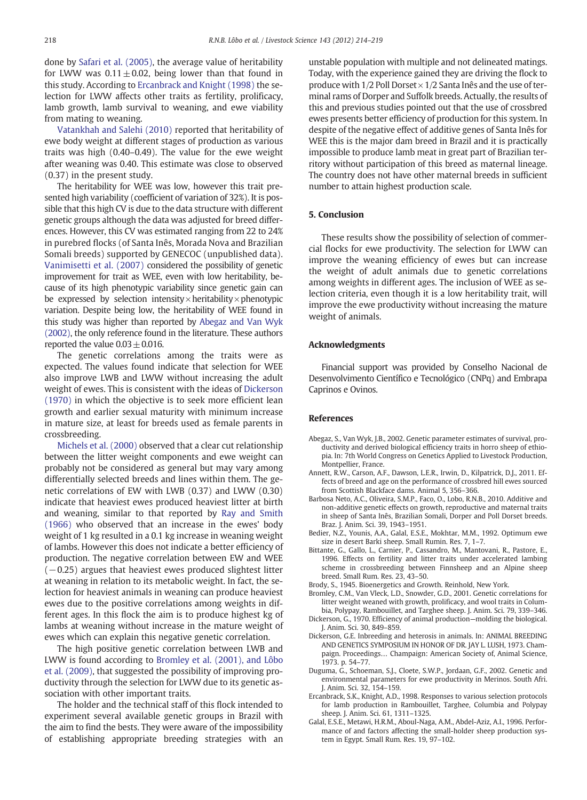<span id="page-4-0"></span>done by [Safari et al. \(2005\)](#page-5-0), the average value of heritability for LWW was  $0.11 \pm 0.02$ , being lower than that found in this study. According to Ercanbrack and Knight (1998) the selection for LWW affects other traits as fertility, prolificacy, lamb growth, lamb survival to weaning, and ewe viability from mating to weaning.

[Vatankhah and Salehi \(2010\)](#page-5-0) reported that heritability of ewe body weight at different stages of production as various traits was high (0.40–0.49). The value for the ewe weight after weaning was 0.40. This estimate was close to observed (0.37) in the present study.

The heritability for WEE was low, however this trait presented high variability (coefficient of variation of 32%). It is possible that this high CV is due to the data structure with different genetic groups although the data was adjusted for breed differences. However, this CV was estimated ranging from 22 to 24% in purebred flocks (of Santa Inês, Morada Nova and Brazilian Somali breeds) supported by GENECOC (unpublished data). [Vanimisetti et al. \(2007\)](#page-5-0) considered the possibility of genetic improvement for trait as WEE, even with low heritability, because of its high phenotypic variability since genetic gain can be expressed by selection intensity $\times$ heritability $\times$ phenotypic variation. Despite being low, the heritability of WEE found in this study was higher than reported by Abegaz and Van Wyk (2002), the only reference found in the literature. These authors reported the value  $0.03 \pm 0.016$ .

The genetic correlations among the traits were as expected. The values found indicate that selection for WEE also improve LWB and LWW without increasing the adult weight of ewes. This is consistent with the ideas of Dickerson (1970) in which the objective is to seek more efficient lean growth and earlier sexual maturity with minimum increase in mature size, at least for breeds used as female parents in crossbreeding.

[Michels et al. \(2000\)](#page-5-0) observed that a clear cut relationship between the litter weight components and ewe weight can probably not be considered as general but may vary among differentially selected breeds and lines within them. The genetic correlations of EW with LWB (0.37) and LWW (0.30) indicate that heaviest ewes produced heaviest litter at birth and weaning, similar to that reported by [Ray and Smith](#page-5-0) [\(1966\)](#page-5-0) who observed that an increase in the ewes' body weight of 1 kg resulted in a 0.1 kg increase in weaning weight of lambs. However this does not indicate a better efficiency of production. The negative correlation between EW and WEE  $(-0.25)$  argues that heaviest ewes produced slightest litter at weaning in relation to its metabolic weight. In fact, the selection for heaviest animals in weaning can produce heaviest ewes due to the positive correlations among weights in different ages. In this flock the aim is to produce highest kg of lambs at weaning without increase in the mature weight of ewes which can explain this negative genetic correlation.

The high positive genetic correlation between LWB and LWW is found according to Bromley et al. (2001), and Lôbo et al. (2009), that suggested the possibility of improving productivity through the selection for LWW due to its genetic association with other important traits.

The holder and the technical staff of this flock intended to experiment several available genetic groups in Brazil with the aim to find the bests. They were aware of the impossibility of establishing appropriate breeding strategies with an

unstable population with multiple and not delineated matings. Today, with the experience gained they are driving the flock to produce with  $1/2$  Poll Dorset  $\times$  1/2 Santa Inês and the use of terminal rams of Dorper and Suffolk breeds. Actually, the results of this and previous studies pointed out that the use of crossbred ewes presents better efficiency of production for this system. In despite of the negative effect of additive genes of Santa Inês for WEE this is the major dam breed in Brazil and it is practically impossible to produce lamb meat in great part of Brazilian territory without participation of this breed as maternal lineage. The country does not have other maternal breeds in sufficient number to attain highest production scale.

# 5. Conclusion

These results show the possibility of selection of commercial flocks for ewe productivity. The selection for LWW can improve the weaning efficiency of ewes but can increase the weight of adult animals due to genetic correlations among weights in different ages. The inclusion of WEE as selection criteria, even though it is a low heritability trait, will improve the ewe productivity without increasing the mature weight of animals.

## Acknowledgments

Financial support was provided by Conselho Nacional de Desenvolvimento Científico e Tecnológico (CNPq) and Embrapa Caprinos e Ovinos.

## References

- Abegaz, S., Van Wyk, J.B., 2002. Genetic parameter estimates of survival, productivity and derived biological efficiency traits in horro sheep of ethiopia. In: 7th World Congress on Genetics Applied to Livestock Production, Montpellier, France.
- Annett, R.W., Carson, A.F., Dawson, L.E.R., Irwin, D., Kilpatrick, D.J., 2011. Effects of breed and age on the performance of crossbred hill ewes sourced from Scottish Blackface dams. Animal 5, 356–366.
- Barbosa Neto, A.C., Oliveira, S.M.P., Faco, O., Lobo, R.N.B., 2010. Additive and non-additive genetic effects on growth, reproductive and maternal traits in sheep of Santa Inês, Brazilian Somali, Dorper and Poll Dorset breeds. Braz. J. Anim. Sci. 39, 1943–1951.
- Bedier, N.Z., Younis, A.A., Galal, E.S.E., Mokhtar, M.M., 1992. Optimum ewe size in desert Barki sheep. Small Rumin. Res. 7, 1–7.
- Bittante, G., Gallo, L., Carnier, P., Cassandro, M., Mantovani, R., Pastore, E., 1996. Effects on fertility and litter traits under accelerated lambing scheme in crossbreeding between Finnsheep and an Alpine sheep breed. Small Rum. Res. 23, 43–50.
- Brody, S., 1945. Bioenergetics and Growth. Reinhold, New York.
- Bromley, C.M., Van Vleck, L.D., Snowder, G.D., 2001. Genetic correlations for litter weight weaned with growth, prolificacy, and wool traits in Columbia, Polypay, Rambouillet, and Targhee sheep. J. Anim. Sci. 79, 339–346.
- Dickerson, G., 1970. Efficiency of animal production—molding the biological. J. Anim. Sci. 30, 849–859.
- Dickerson, G.E. Inbreeding and heterosis in animals. In: ANIMAL BREEDING AND GENETICS SYMPOSIUM IN HONOR OF DR. JAY L. LUSH, 1973. Champaign. Proceedings… Champaign: American Society of, Animal Science, 1973. p. 54–77.
- Duguma, G., Schoeman, S.J., Cloete, S.W.P., Jordaan, G.F., 2002. Genetic and environmental parameters for ewe productivity in Merinos. South Afri. J. Anim. Sci. 32, 154–159.
- Ercanbrack, S.K., Knight, A.D., 1998. Responses to various selection protocols for lamb production in Rambouillet, Targhee, Columbia and Polypay sheep. J. Anim. Sci. 61, 1311–1325.
- Galal, E.S.E., Metawi, H.R.M., Aboul-Naga, A.M., Abdel-Aziz, A.I., 1996. Performance of and factors affecting the small-holder sheep production system in Egypt. Small Rum. Res. 19, 97–102.